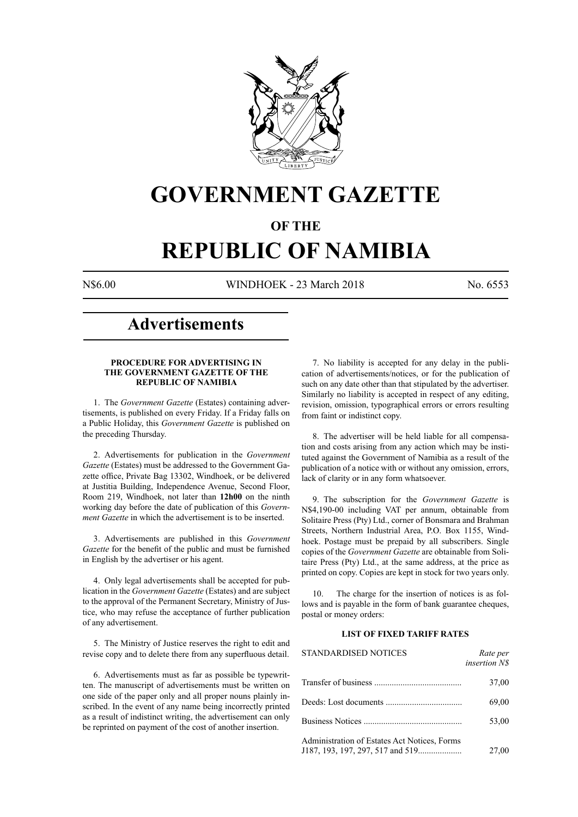

## **GOVERNMENT GAZETTE**

## **OF THE**

# **REPUBLIC OF NAMIBIA**

N\$6.00 WINDHOEK - 23 March 2018 No. 6553

## **Advertisements**

## **PROCEDURE FOR ADVERTISING IN THE GOVERNMENT GAZETTE OF THE REPUBLIC OF NAMIBIA**

1. The *Government Gazette* (Estates) containing advertisements, is published on every Friday. If a Friday falls on a Public Holiday, this *Government Gazette* is published on the preceding Thursday.

2. Advertisements for publication in the *Government Gazette* (Estates) must be addressed to the Government Gazette office, Private Bag 13302, Windhoek, or be delivered at Justitia Building, Independence Avenue, Second Floor, Room 219, Windhoek, not later than **12h00** on the ninth working day before the date of publication of this *Government Gazette* in which the advertisement is to be inserted.

3. Advertisements are published in this *Government Gazette* for the benefit of the public and must be furnished in English by the advertiser or his agent.

4. Only legal advertisements shall be accepted for publication in the *Government Gazette* (Estates) and are subject to the approval of the Permanent Secretary, Ministry of Justice, who may refuse the acceptance of further publication of any advertisement.

5. The Ministry of Justice reserves the right to edit and revise copy and to delete there from any superfluous detail.

6. Advertisements must as far as possible be typewritten. The manuscript of advertisements must be written on one side of the paper only and all proper nouns plainly inscribed. In the event of any name being incorrectly printed as a result of indistinct writing, the advertisement can only be reprinted on payment of the cost of another insertion.

7. No liability is accepted for any delay in the publication of advertisements/notices, or for the publication of such on any date other than that stipulated by the advertiser. Similarly no liability is accepted in respect of any editing, revision, omission, typographical errors or errors resulting from faint or indistinct copy.

8. The advertiser will be held liable for all compensation and costs arising from any action which may be instituted against the Government of Namibia as a result of the publication of a notice with or without any omission, errors, lack of clarity or in any form whatsoever.

9. The subscription for the *Government Gazette* is N\$4,190-00 including VAT per annum, obtainable from Solitaire Press (Pty) Ltd., corner of Bonsmara and Brahman Streets, Northern Industrial Area, P.O. Box 1155, Windhoek. Postage must be prepaid by all subscribers. Single copies of the *Government Gazette* are obtainable from Solitaire Press (Pty) Ltd., at the same address, at the price as printed on copy. Copies are kept in stock for two years only.

10. The charge for the insertion of notices is as follows and is payable in the form of bank guarantee cheques, postal or money orders:

## **LIST OF FIXED TARIFF RATES**

| <b>STANDARDISED NOTICES</b>                  | Rate per<br><i>insertion NS</i> |
|----------------------------------------------|---------------------------------|
|                                              | 37,00                           |
|                                              | 69,00                           |
|                                              | 53,00                           |
| Administration of Estates Act Notices, Forms | 27,00                           |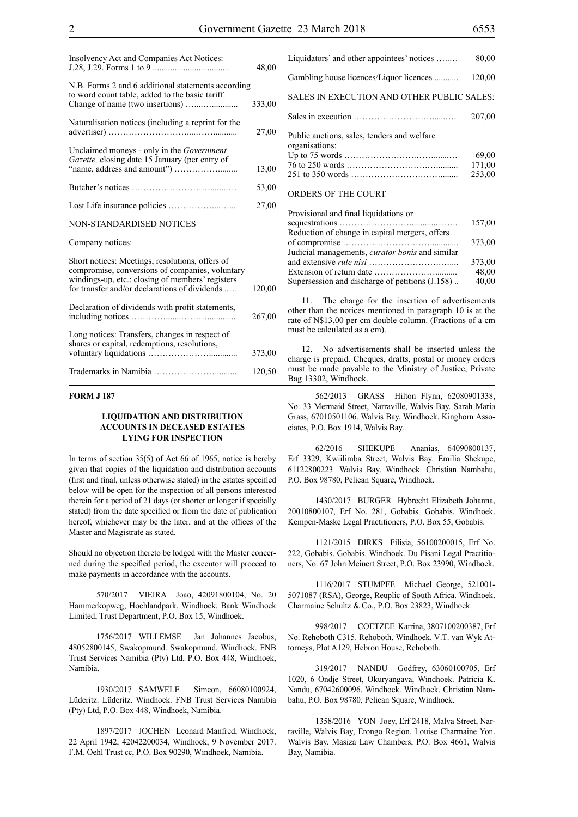| Insolvency Act and Companies Act Notices:                                                                                                                                                               | 48,00  |
|---------------------------------------------------------------------------------------------------------------------------------------------------------------------------------------------------------|--------|
| N.B. Forms 2 and 6 additional statements according<br>to word count table, added to the basic tariff.                                                                                                   | 333,00 |
| Naturalisation notices (including a reprint for the                                                                                                                                                     | 27,00  |
| Unclaimed moneys - only in the <i>Government</i><br>Gazette, closing date 15 January (per entry of                                                                                                      | 13,00  |
|                                                                                                                                                                                                         | 53,00  |
|                                                                                                                                                                                                         | 27,00  |
| <b>NON-STANDARDISED NOTICES</b>                                                                                                                                                                         |        |
| Company notices:                                                                                                                                                                                        |        |
| Short notices: Meetings, resolutions, offers of<br>compromise, conversions of companies, voluntary<br>windings-up, etc.: closing of members' registers<br>for transfer and/or declarations of dividends | 120,00 |
| Declaration of dividends with profit statements,                                                                                                                                                        | 267,00 |
| Long notices: Transfers, changes in respect of<br>shares or capital, redemptions, resolutions,                                                                                                          | 373,00 |
|                                                                                                                                                                                                         | 120,50 |

## **FORM J 187**

## **LIQUIDATION AND DISTRIBUTION ACCOUNTS IN DECEASED ESTATES LYING FOR INSPECTION**

In terms of section 35(5) of Act 66 of 1965, notice is hereby given that copies of the liquidation and distribution accounts (first and final, unless otherwise stated) in the estates specified below will be open for the inspection of all persons interested therein for a period of 21 days (or shorter or longer if specially stated) from the date specified or from the date of publication hereof, whichever may be the later, and at the offices of the Master and Magistrate as stated.

Should no objection thereto be lodged with the Master concerned during the specified period, the executor will proceed to make payments in accordance with the accounts.

570/2017 VIEIRA Joao, 42091800104, No. 20 Hammerkopweg, Hochlandpark. Windhoek. Bank Windhoek Limited, Trust Department, P.O. Box 15, Windhoek.

1756/2017 WILLEMSE Jan Johannes Jacobus, 48052800145, Swakopmund. Swakopmund. Windhoek. FNB Trust Services Namibia (Pty) Ltd, P.O. Box 448, Windhoek, Namibia.

1930/2017 SAMWELE Simeon, 66080100924, Lüderitz. Lüderitz. Windhoek. FNB Trust Services Namibia (Pty) Ltd, P.O. Box 448, Windhoek, Namibia.

1897/2017 JOCHEN Leonard Manfred, Windhoek, 22 April 1942, 42042200034, Windhoek, 9 November 2017. F.M. Oehl Trust cc, P.O. Box 90290, Windhoek, Namibia.

|                                             | 201.00 |
|---------------------------------------------|--------|
| Public auctions, sales, tenders and welfare |        |
| organisations:                              |        |
|                                             | 69.00  |
|                                             | 171.00 |
|                                             | 253.00 |

 $S<sub>class</sub>$  in execution  $207.00$ 

#### ORDERS OF THE COURT

| 157,00 |
|--------|
|        |
| 373,00 |
|        |
| 373,00 |
| 48,00  |
| 40,00  |
|        |

11. The charge for the insertion of advertisements other than the notices mentioned in paragraph 10 is at the rate of N\$13,00 per cm double column. (Fractions of a cm must be calculated as a cm).

12. No advertisements shall be inserted unless the charge is prepaid. Cheques, drafts, postal or money orders must be made payable to the Ministry of Justice, Private Bag 13302, Windhoek.

562/2013 GRASS Hilton Flynn, 62080901338, No. 33 Mermaid Street, Narraville, Walvis Bay. Sarah Maria Grass, 67010501106. Walvis Bay. Windhoek. Kinghorn Associates, P.O. Box 1914, Walvis Bay..

62/2016 SHEKUPE Ananias, 64090800137, Erf 3329, Kwiilimba Street, Walvis Bay. Emilia Shekupe, 61122800223. Walvis Bay. Windhoek. Christian Nambahu, P.O. Box 98780, Pelican Square, Windhoek.

1430/2017 BURGER Hybrecht Elizabeth Johanna, 20010800107, Erf No. 281, Gobabis. Gobabis. Windhoek. Kempen-Maske Legal Practitioners, P.O. Box 55, Gobabis.

1121/2015 DIRKS Filisia, 56100200015, Erf No. 222, Gobabis. Gobabis. Windhoek. Du Pisani Legal Practitioners, No. 67 John Meinert Street, P.O. Box 23990, Windhoek.

1116/2017 STUMPFE Michael George, 521001- 5071087 (RSA), George, Reuplic of South Africa. Windhoek. Charmaine Schultz & Co., P.O. Box 23823, Windhoek.

998/2017 COETZEE Katrina, 3807100200387, Erf No. Rehoboth C315. Rehoboth. Windhoek. V.T. van Wyk Attorneys, Plot A129, Hebron House, Rehoboth.

319/2017 NANDU Godfrey, 63060100705, Erf 1020, 6 Ondje Street, Okuryangava, Windhoek. Patricia K. Nandu, 67042600096. Windhoek. Windhoek. Christian Nambahu, P.O. Box 98780, Pelican Square, Windhoek.

1358/2016 YON Joey, Erf 2418, Malva Street, Narraville, Walvis Bay, Erongo Region. Louise Charmaine Yon. Walvis Bay. Masiza Law Chambers, P.O. Box 4661, Walvis Bay, Namibia.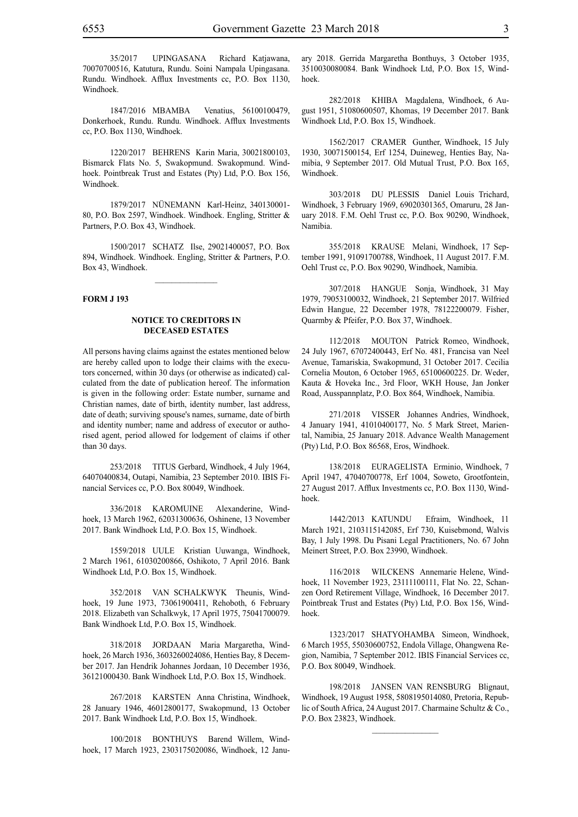35/2017 UPINGASANA Richard Katjawana, 70070700516, Katutura, Rundu. Soini Nampala Upingasana. Rundu. Windhoek. Afflux Investments cc, P.O. Box 1130, Windhoek.

1847/2016 MBAMBA Venatius, 56100100479, Donkerhoek, Rundu. Rundu. Windhoek. Afflux Investments cc, P.O. Box 1130, Windhoek.

1220/2017 BEHRENS Karin Maria, 30021800103, Bismarck Flats No. 5, Swakopmund. Swakopmund. Windhoek. Pointbreak Trust and Estates (Pty) Ltd, P.O. Box 156, Windhoek.

1879/2017 NÜnemann Karl-Heinz, 340130001- 80, P.O. Box 2597, Windhoek. Windhoek. Engling, Stritter & Partners, P.O. Box 43, Windhoek.

1500/2017 SCHATZ Ilse, 29021400057, P.O. Box 894, Windhoek. Windhoek. Engling, Stritter & Partners, P.O. Box 43, Windhoek.

 $\frac{1}{2}$ 

#### **FORM J 193**

## **NOTICE TO CREDITORS IN DECEASED ESTATES**

All persons having claims against the estates mentioned below are hereby called upon to lodge their claims with the executors concerned, within 30 days (or otherwise as indicated) calculated from the date of publication hereof. The information is given in the following order: Estate number, surname and Christian names, date of birth, identity number, last address, date of death; surviving spouse's names, surname, date of birth and identity number; name and address of executor or authorised agent, period allowed for lodgement of claims if other than 30 days.

253/2018 TITUS Gerbard, Windhoek, 4 July 1964, 64070400834, Outapi, Namibia, 23 September 2010. IBIS Financial Services cc, P.O. Box 80049, Windhoek.

336/2018 KAROMUINE Alexanderine, Windhoek, 13 March 1962, 62031300636, Oshinene, 13 November 2017. Bank Windhoek Ltd, P.O. Box 15, Windhoek.

1559/2018 UULE Kristian Uuwanga, Windhoek, 2 March 1961, 61030200866, Oshikoto, 7 April 2016. Bank Windhoek Ltd, P.O. Box 15, Windhoek.

352/2018 VAN SCHALKWYK Theunis, Windhoek, 19 June 1973, 73061900411, Rehoboth, 6 February 2018. Elizabeth van Schalkwyk, 17 April 1975, 75041700079. Bank Windhoek Ltd, P.O. Box 15, Windhoek.

318/2018 JORDAAN Maria Margaretha, Windhoek, 26 March 1936, 3603260024086, Henties Bay, 8 December 2017. Jan Hendrik Johannes Jordaan, 10 December 1936, 36121000430. Bank Windhoek Ltd, P.O. Box 15, Windhoek.

267/2018 KARSTEN Anna Christina, Windhoek, 28 January 1946, 46012800177, Swakopmund, 13 October 2017. Bank Windhoek Ltd, P.O. Box 15, Windhoek.

100/2018 BONTHUYS Barend Willem, Windhoek, 17 March 1923, 2303175020086, Windhoek, 12 January 2018. Gerrida Margaretha Bonthuys, 3 October 1935, 3510030080084. Bank Windhoek Ltd, P.O. Box 15, Windhoek.

282/2018 KHIBA Magdalena, Windhoek, 6 August 1951, 51080600507, Khomas, 19 December 2017. Bank Windhoek Ltd, P.O. Box 15, Windhoek.

1562/2017 CRAMER Gunther, Windhoek, 15 July 1930, 30071500154, Erf 1254, Duineweg, Henties Bay, Namibia, 9 September 2017. Old Mutual Trust, P.O. Box 165, Windhoek.

303/2018 DU PLESSIS Daniel Louis Trichard, Windhoek, 3 February 1969, 69020301365, Omaruru, 28 January 2018. F.M. Oehl Trust cc, P.O. Box 90290, Windhoek, Namibia.

355/2018 KRAUSE Melani, Windhoek, 17 September 1991, 91091700788, Windhoek, 11 August 2017. F.M. Oehl Trust cc, P.O. Box 90290, Windhoek, Namibia.

307/2018 HANGUE Sonja, Windhoek, 31 May 1979, 79053100032, Windhoek, 21 September 2017. Wilfried Edwin Hangue, 22 December 1978, 78122200079. Fisher, Quarmby & Pfeifer, P.O. Box 37, Windhoek.

112/2018 MOUTON Patrick Romeo, Windhoek, 24 July 1967, 67072400443, Erf No. 481, Francisa van Neel Avenue, Tamariskia, Swakopmund, 31 October 2017. Cecilia Cornelia Mouton, 6 October 1965, 65100600225. Dr. Weder, Kauta & Hoveka Inc., 3rd Floor, WKH House, Jan Jonker Road, Ausspannplatz, P.O. Box 864, Windhoek, Namibia.

271/2018 VISSER Johannes Andries, Windhoek, 4 January 1941, 41010400177, No. 5 Mark Street, Mariental, Namibia, 25 January 2018. Advance Wealth Management (Pty) Ltd, P.O. Box 86568, Eros, Windhoek.

138/2018 EURAGELISTA Erminio, Windhoek, 7 April 1947, 47040700778, Erf 1004, Soweto, Grootfontein, 27 August 2017. Afflux Investments cc, P.O. Box 1130, Windhoek.

1442/2013 KATUNDU Efraim, Windhoek, 11 March 1921, 2103115142085, Erf 730, Kuisebmond, Walvis Bay, 1 July 1998. Du Pisani Legal Practitioners, No. 67 John Meinert Street, P.O. Box 23990, Windhoek.

116/2018 WILCKENS Annemarie Helene, Windhoek, 11 November 1923, 23111100111, Flat No. 22, Schanzen Oord Retirement Village, Windhoek, 16 December 2017. Pointbreak Trust and Estates (Pty) Ltd, P.O. Box 156, Windhoek.

1323/2017 SHATYOHAMBA Simeon, Windhoek, 6 March 1955, 55030600752, Endola Village, Ohangwena Region, Namibia, 7 September 2012. IBIS Financial Services cc, P.O. Box 80049, Windhoek.

198/2018 JANSEN VAN RENSBURG Blignaut, Windhoek, 19 August 1958, 5808195014080, Pretoria, Republic of South Africa, 24 August 2017. Charmaine Schultz & Co., P.O. Box 23823, Windhoek.

 $\frac{1}{2}$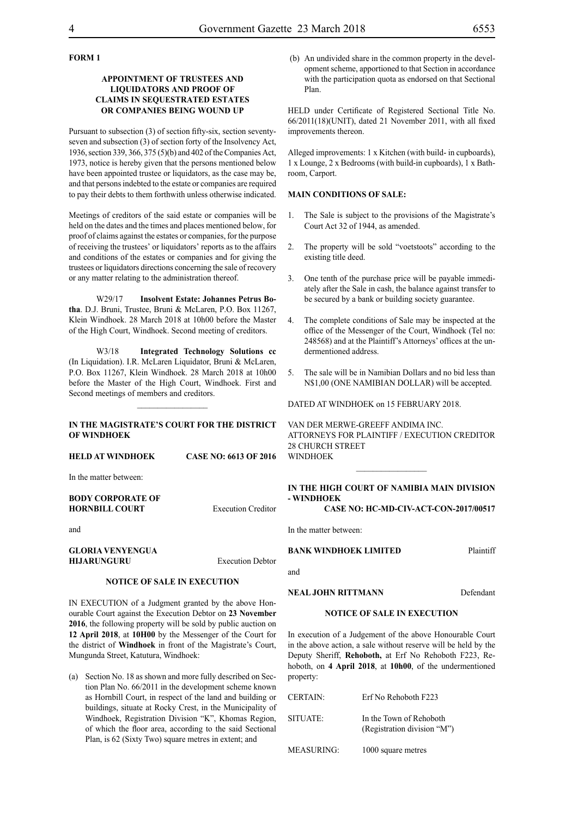## **FORM 1**

## **APPOINTMENT OF TRUSTEES AND LIQUIDATORS AND PROOF OF CLAIMS IN SEQUESTRATED ESTATES OR COMPANIES BEING WOUND UP**

Pursuant to subsection (3) of section fifty-six, section seventyseven and subsection (3) of section forty of the Insolvency Act, 1936, section 339, 366, 375 (5)(b) and 402 of the Companies Act, 1973, notice is hereby given that the persons mentioned below have been appointed trustee or liquidators, as the case may be, and that persons indebted to the estate or companies are required to pay their debts to them forthwith unless otherwise indicated.

Meetings of creditors of the said estate or companies will be held on the dates and the times and places mentioned below, for proof of claims against the estates or companies, for the purpose of receiving the trustees' or liquidators' reports as to the affairs and conditions of the estates or companies and for giving the trustees or liquidators directions concerning the sale of recovery or any matter relating to the administration thereof.

W29/17 **Insolvent Estate: Johannes Petrus Botha**. D.J. Bruni, Trustee, Bruni & McLaren, P.O. Box 11267, Klein Windhoek. 28 March 2018 at 10h00 before the Master of the High Court, Windhoek. Second meeting of creditors.

W3/18 **Integrated Technology Solutions cc** (In Liquidation). I.R. McLaren Liquidator, Bruni & McLaren, P.O. Box 11267, Klein Windhoek. 28 March 2018 at 10h00 before the Master of the High Court, Windhoek. First and Second meetings of members and creditors.

## **IN THE MAGISTRATE'S COURT FOR THE DISTRICT OF WINDHOEK**

 $\frac{1}{2}$ 

**HELD AT WINDHOEK CASE NO: 6613 OF 2016**

In the matter between:

| <b>BODY CORPORATE OF</b> |  |
|--------------------------|--|
| <b>HORNBILL COURT</b>    |  |

and

**GLORIA VENYENGUA HIJARUNGURU** Execution Debtor

**Execution Creditor** 

## **NOTICE OF SALE IN EXECUTION**

IN EXECUTION of a Judgment granted by the above Honourable Court against the Execution Debtor on **23 November 2016**, the following property will be sold by public auction on **12 April 2018**, at **10H00** by the Messenger of the Court for the district of **Windhoek** in front of the Magistrate's Court, Mungunda Street, Katutura, Windhoek:

(a) Section No. 18 as shown and more fully described on Section Plan No. 66/2011 in the development scheme known as Hornbill Court, in respect of the land and building or buildings, situate at Rocky Crest, in the Municipality of Windhoek, Registration Division "K", Khomas Region, of which the floor area, according to the said Sectional Plan, is 62 (Sixty Two) square metres in extent; and

 (b) An undivided share in the common property in the development scheme, apportioned to that Section in accordance with the participation quota as endorsed on that Sectional Plan.

HELD under Certificate of Registered Sectional Title No. 66/2011(18)(UNIT), dated 21 November 2011, with all fixed improvements thereon.

Alleged improvements: 1 x Kitchen (with build- in cupboards), 1 x Lounge, 2 x Bedrooms (with build-in cupboards), 1 x Bathroom, Carport.

## **MAIN CONDITIONS OF SALE:**

- 1. The Sale is subject to the provisions of the Magistrate's Court Act 32 of 1944, as amended.
- 2. The property will be sold "voetstoots" according to the existing title deed.
- 3. One tenth of the purchase price will be payable immediately after the Sale in cash, the balance against transfer to be secured by a bank or building society guarantee.
- 4. The complete conditions of Sale may be inspected at the office of the Messenger of the Court, Windhoek (Tel no: 248568) and at the Plaintiff's Attorneys' offices at the undermentioned address.
- 5. The sale will be in Namibian Dollars and no bid less than N\$1,00 (ONE NAMIBIAN DOLLAR) will be accepted.

DATED AT WINDHOEK on 15 FEBRUARY 2018.

VAN DER MERWE-GREEFF ANDIMA INC. ATTORNEYS FOR PLAINTIFF / EXECUTION CREDITOR 28 CHURCH STREET **WINDHOEK** 

## **IN THE HIGH COURT OF NAMIBIA MAIN DIVISION - WINDHOEK**

 $\frac{1}{2}$ 

**CASE NO: HC-MD-CIV-ACT-CON-2017/00517**

In the matter between:

## **BANK WINDHOEK LIMITED** Plaintiff

and

**NEAL JOHN RITTMANN** Defendant

### **NOTICE OF SALE IN EXECUTION**

In execution of a Judgement of the above Honourable Court in the above action, a sale without reserve will be held by the Deputy Sheriff, **Rehoboth,** at Erf No Rehoboth F223, Rehoboth, on **4 April 2018**, at **10h00**, of the undermentioned property:

| <b>CERTAIN:</b>   | Erf No Rehoboth F223                                   |
|-------------------|--------------------------------------------------------|
| SITUATE:          | In the Town of Rehoboth<br>(Registration division "M") |
| <b>MEASURING:</b> | 1000 square metres                                     |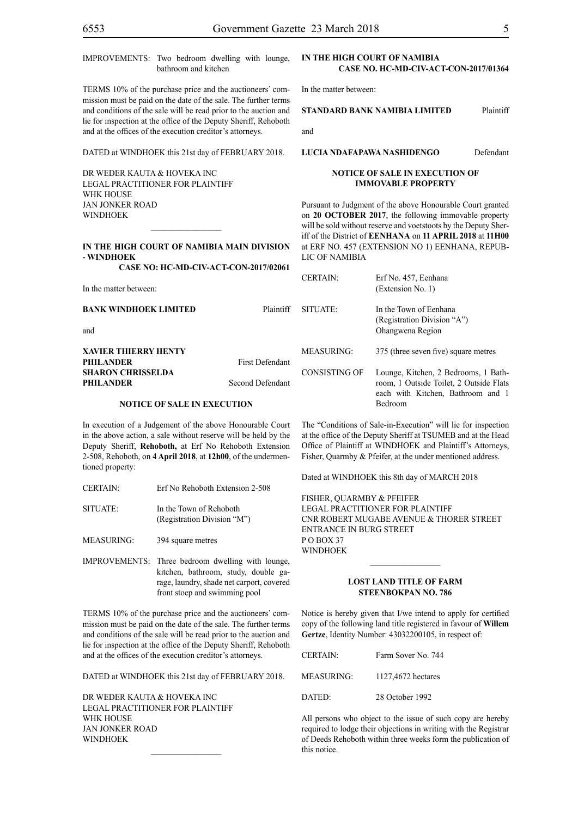| IMPROVEMENTS: Two bedroom dwelling with lounge,<br>bathroom and kitchen                                                                                                                                                                                                                                                                                                                                                                                                                                              |                                            |                                                                                                                                                                                                                                                   | IN THE HIGH COURT OF NAMIBIA<br>CASE NO. HC-MD-CIV-ACT-CON-2017/01364           |           |
|----------------------------------------------------------------------------------------------------------------------------------------------------------------------------------------------------------------------------------------------------------------------------------------------------------------------------------------------------------------------------------------------------------------------------------------------------------------------------------------------------------------------|--------------------------------------------|---------------------------------------------------------------------------------------------------------------------------------------------------------------------------------------------------------------------------------------------------|---------------------------------------------------------------------------------|-----------|
| TERMS 10% of the purchase price and the auctioneers' com-<br>mission must be paid on the date of the sale. The further terms<br>and conditions of the sale will be read prior to the auction and<br>lie for inspection at the office of the Deputy Sheriff, Rehoboth<br>and at the offices of the execution creditor's attorneys.                                                                                                                                                                                    |                                            | In the matter between:                                                                                                                                                                                                                            |                                                                                 |           |
|                                                                                                                                                                                                                                                                                                                                                                                                                                                                                                                      |                                            |                                                                                                                                                                                                                                                   | STANDARD BANK NAMIBIA LIMITED                                                   | Plaintiff |
|                                                                                                                                                                                                                                                                                                                                                                                                                                                                                                                      |                                            | and                                                                                                                                                                                                                                               |                                                                                 |           |
| DATED at WINDHOEK this 21st day of FEBRUARY 2018.                                                                                                                                                                                                                                                                                                                                                                                                                                                                    |                                            |                                                                                                                                                                                                                                                   | LUCIA NDAFAPAWA NASHIDENGO                                                      | Defendant |
| DR WEDER KAUTA & HOVEKA INC<br>LEGAL PRACTITIONER FOR PLAINTIFF<br>WHK HOUSE                                                                                                                                                                                                                                                                                                                                                                                                                                         |                                            |                                                                                                                                                                                                                                                   | <b>NOTICE OF SALE IN EXECUTION OF</b><br><b>IMMOVABLE PROPERTY</b>              |           |
| <b>JAN JONKER ROAD</b><br><b>WINDHOEK</b>                                                                                                                                                                                                                                                                                                                                                                                                                                                                            |                                            | Pursuant to Judgment of the above Honourable Court granted<br>on 20 OCTOBER 2017, the following immovable property<br>will be sold without reserve and voetstoots by the Deputy Sher-<br>iff of the District of EENHANA on 11 APRIL 2018 at 11H00 |                                                                                 |           |
| IN THE HIGH COURT OF NAMIBIA MAIN DIVISION<br>- WINDHOEK                                                                                                                                                                                                                                                                                                                                                                                                                                                             |                                            | <b>LIC OF NAMIBIA</b>                                                                                                                                                                                                                             | at ERF NO. 457 (EXTENSION NO 1) EENHANA, REPUB-                                 |           |
| CASE NO: HC-MD-CIV-ACT-CON-2017/02061                                                                                                                                                                                                                                                                                                                                                                                                                                                                                |                                            |                                                                                                                                                                                                                                                   |                                                                                 |           |
| In the matter between:                                                                                                                                                                                                                                                                                                                                                                                                                                                                                               |                                            | <b>CERTAIN:</b>                                                                                                                                                                                                                                   | Erf No. 457, Eenhana<br>(Extension No. 1)                                       |           |
| BANK WINDHOEK LIMITED<br>and                                                                                                                                                                                                                                                                                                                                                                                                                                                                                         | Plaintiff                                  | SITUATE:                                                                                                                                                                                                                                          | In the Town of Eenhana<br>(Registration Division "A")<br>Ohangwena Region       |           |
| XAVIER THIERRY HENTY<br>PHILANDER                                                                                                                                                                                                                                                                                                                                                                                                                                                                                    | First Defendant<br><b>Second Defendant</b> | <b>MEASURING:</b>                                                                                                                                                                                                                                 | 375 (three seven five) square metres                                            |           |
| <b>SHARON CHRISSELDA</b><br>PHILANDER                                                                                                                                                                                                                                                                                                                                                                                                                                                                                |                                            | <b>CONSISTING OF</b>                                                                                                                                                                                                                              | Lounge, Kitchen, 2 Bedrooms, 1 Bath-<br>room, 1 Outside Toilet, 2 Outside Flats |           |
| <b>NOTICE OF SALE IN EXECUTION</b>                                                                                                                                                                                                                                                                                                                                                                                                                                                                                   |                                            |                                                                                                                                                                                                                                                   | each with Kitchen, Bathroom and 1<br>Bedroom                                    |           |
| In execution of a Judgement of the above Honourable Court<br>The "Conditions of Sale-in-Execution" will lie for inspection<br>in the above action, a sale without reserve will be held by the<br>at the office of the Deputy Sheriff at TSUMEB and at the Head<br>Office of Plaintiff at WINDHOEK and Plaintiff's Attorneys,<br>Deputy Sheriff, Rehoboth, at Erf No Rehoboth Extension<br>2-508, Rehoboth, on 4 April 2018, at 12h00, of the undermen-<br>Fisher, Quarmby & Pfeifer, at the under mentioned address. |                                            |                                                                                                                                                                                                                                                   |                                                                                 |           |

Dated at WINDHOEK this 8th day of MARCH 2018

FISHER, QUARMBY & PFEIFER LEGAL PRACTITIONER FOR Plaintiff Cnr Robert Mugabe Avenue & Thorer Street Entrance in Burg Street P O Box 37 WINDHOEK

### **LOST LAND TITLE OF FARM STEENBOKPAN NO. 786**

 $\frac{1}{2}$ 

Notice is hereby given that I/we intend to apply for certified copy of the following land title registered in favour of **Willem Gertze**, Identity Number: 43032200105, in respect of:

| CERTAIN·   | Farm Sover No. 744 |
|------------|--------------------|
| MEASURING: | 1127,4672 hectares |
| DATED      | 28 October 1992    |

All persons who object to the issue of such copy are hereby required to lodge their objections in writing with the Registrar of Deeds Rehoboth within three weeks form the publication of this notice.

## **- WINDHOEK**

## **XAVIER THIERRY HENTY SHARON CHRISSELDA**

In execution of a Judgement of the above Honourable Court in the above action, a sale without reserve will be held by the Deputy Sheriff, **Rehoboth,** at Erf No Rehoboth Extension 2-508, Rehoboth, on **4 April 2018**, at **12h00**, of the undermentioned property:

- CERTAIN: Erf No Rehoboth Extension 2-508
- SITUATE: In the Town of Rehoboth (Registration Division "M")

MEASURING: 394 square metres

IMPROVEMENTS: Three bedroom dwelling with lounge, kitchen, bathroom, study, double garage, laundry, shade net carport, covered front stoep and swimming pool

TERMS 10% of the purchase price and the auctioneers' commission must be paid on the date of the sale. The further terms and conditions of the sale will be read prior to the auction and lie for inspection at the office of the Deputy Sheriff, Rehoboth and at the offices of the execution creditor's attorneys.

DATED at WINDHOEK this 21st day of FEBRUARY 2018.

DR WEDER KAUTA & HOVEKA INC Legal Practitioner for Plaintiff WHK HOUSE Jan Jonker Road **WINDHOEK**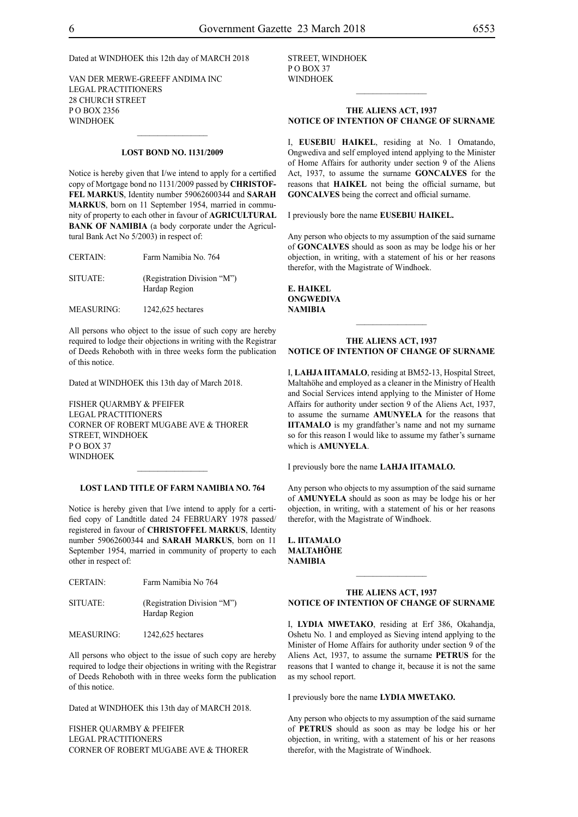## Dated at WINDHOEK this 12th day of MARCH 2018

VAN DER MERWE-GREEFF ANDIMA INC Legal Practitioners 28 Church Street P O Box 2356 **WINDHOEK** 

### **LOST BOND NO. 1131/2009**

 $\frac{1}{2}$ 

Notice is hereby given that I/we intend to apply for a certified copy of Mortgage bond no 1131/2009 passed by **CHRISTOF-FEL MARKUS**, Identity number 59062600344 and **SARAH MARKUS**, born on 11 September 1954, married in community of property to each other in favour of **AGRICULTURAL BANK OF NAMIBIA** (a body corporate under the Agricultural Bank Act No 5/2003) in respect of:

| <b>CERTAIN:</b> | Farm Namibia No. 764        |
|-----------------|-----------------------------|
| SITUATE:        | (Registration Division "M") |
|                 | Hardap Region               |

MEASURING: 1242,625 hectares

All persons who object to the issue of such copy are hereby required to lodge their objections in writing with the Registrar of Deeds Rehoboth with in three weeks form the publication of this notice.

Dated at WINDHOEK this 13th day of March 2018.

FISHER QUARMBY & PFEIFER Legal Practitioners Corner of Robert Mugabe Ave & Thorer Street, Windhoek P O Box 37 **WINDHOEK** 

#### **LOST LAND TITLE OF FARM NAMIBIA NO. 764**

 $\frac{1}{2}$ 

Notice is hereby given that I/we intend to apply for a certified copy of Landtitle dated 24 FEBRUARY 1978 passed/ registered in favour of **CHRISTOFFEL MARKUS**, Identity number 59062600344 and **SARAH MARKUS**, born on 11 September 1954, married in community of property to each other in respect of:

| <b>CERTAIN:</b> | Farm Namibia No 764                          |
|-----------------|----------------------------------------------|
| <b>SITUATE:</b> | (Registration Division "M")<br>Hardap Region |

MEASURING: 1242,625 hectares

All persons who object to the issue of such copy are hereby required to lodge their objections in writing with the Registrar of Deeds Rehoboth with in three weeks form the publication of this notice.

Dated at WINDHOEK this 13th day of MARCH 2018.

FISHER QUARMBY & PFEIFER Legal Practitioners Corner of Robert Mugabe Ave & Thorer Street, Windhoek PO BOX 37 WINDHOEK

### **THE ALIENS ACT, 1937 NOTICE OF INTENTION OF CHANGE OF SURNAME**

 $\frac{1}{2}$ 

I, **eusebiu haikel**, residing at No. 1 Omatando, Ongwediva and self employed intend applying to the Minister of Home Affairs for authority under section 9 of the Aliens Act, 1937, to assume the surname **goncalves** for the reasons that **HAIKEL** not being the official surname, but **GONCALVES** being the correct and official surname.

I previously bore the name **eusebiu haikel.**

Any person who objects to my assumption of the said surname of **GONCALVES** should as soon as may be lodge his or her objection, in writing, with a statement of his or her reasons therefor, with the Magistrate of Windhoek.

**e. haikel ongwediva NAMIBIA**

#### **THE ALIENS ACT, 1937 NOTICE OF INTENTION OF CHANGE OF SURNAME**

 $\frac{1}{2}$ 

I, **lahja iitamalo**, residing at BM52-13, Hospital Street, Maltahöhe and employed as a cleaner in the Ministry of Health and Social Services intend applying to the Minister of Home Affairs for authority under section 9 of the Aliens Act, 1937, to assume the surname **amunyela** for the reasons that **IITAMALO** is my grandfather's name and not my surname so for this reason I would like to assume my father's surname which is **AMUNYELA**.

I previously bore the name **lahja iitamalO.**

Any person who objects to my assumption of the said surname of **amunyela** should as soon as may be lodge his or her objection, in writing, with a statement of his or her reasons therefor, with the Magistrate of Windhoek.

**l. iitamalO maltahÖhe NAMIBIA**

### **THE ALIENS ACT, 1937 NOTICE OF INTENTION OF CHANGE OF SURNAME**

 $\frac{1}{2}$ 

I, **lydia mwetako**, residing at Erf 386, Okahandja, Oshetu No. 1 and employed as Sieving intend applying to the Minister of Home Affairs for authority under section 9 of the Aliens Act, 1937, to assume the surname **PETRUS** for the reasons that I wanted to change it, because it is not the same as my school report.

I previously bore the name LYDIA MWETAKO.

Any person who objects to my assumption of the said surname of **petrus** should as soon as may be lodge his or her objection, in writing, with a statement of his or her reasons therefor, with the Magistrate of Windhoek.